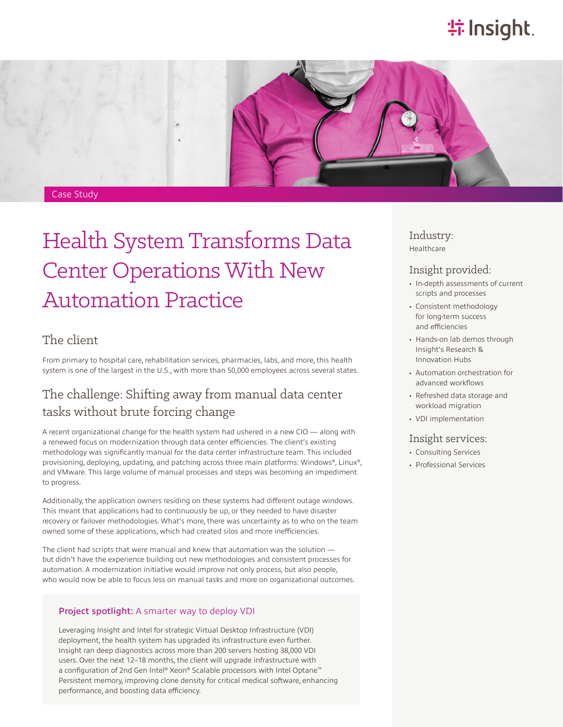# **特Insight**



# Health System Transforms Data Center Operations With New Automation Practice

## The client

From primary to hospital care, rehabilitation services, pharmacies, labs, and more, this health system is one of the largest in the U.S., with more than 50,000 employees across several states.

# The challenge: Shifting away from manual data center tasks without brute forcing change

A recent organizational change for the health system had ushered in a new CIO — along with a renewed focus on modernization through data center efficiencies. The client's existing methodology was significantly manual for the data center infrastructure team. This included provisioning, deploying, updating, and patching across three main platforms: Windows®, Linux®, and VMware. This large volume of manual processes and steps was becoming an impediment to progress.

Additionally, the application owners residing on these systems had different outage windows. This meant that applications had to continuously be up, or they needed to have disaster recovery or failover methodologies. What's more, there was uncertainty as to who on the team owned some of these applications, which had created silos and more inefficiencies.

The client had scripts that were manual and knew that automation was the solution but didn't have the experience building out new methodologies and consistent processes for automation. A modernization initiative would improve not only process, but also people, who would now be able to focus less on manual tasks and more on organizational outcomes.

#### Project spotlight: A smarter way to deploy VDI

Leveraging Insight and Intel for strategic Virtual Desktop Infrastructure (VDI) deployment, the health system has upgraded its infrastructure even further. Insight ran deep diagnostics across more than 200 servers hosting 38,000 VDI users. Over the next 12–18 months, the client will upgrade infrastructure with a configuration of 2nd Gen Intel® Xeon® Scalable processors with Intel Optane™ Persistent memory, improving clone density for critical medical software, enhancing performance, and boosting data efficiency.

Industry: Healthcare

### Insight provided:

- In-depth assessments of current scripts and processes
- Consistent methodology for long-term success and efficiencies
- Hands-on lab demos through Insight's Research & Innovation Hubs
- Automation orchestration for advanced workflows
- Refreshed data storage and workload migration
- VDI implementation

#### Insight services:

- Consulting Services
- Professional Services